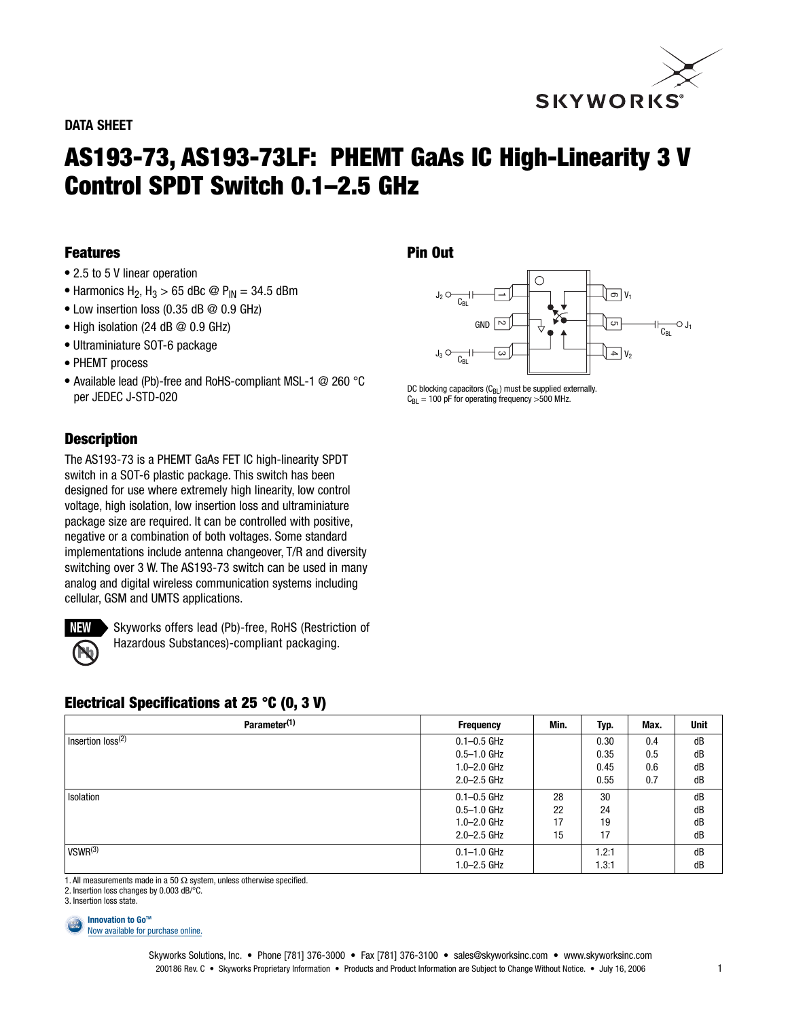

### **DATA SHEET**

# **AS193-73, AS193-73LF: PHEMT GaAs IC High-Linearity 3 V Control SPDT Switch 0.1–2.5 GHz**

# **Features**

- 2.5 to 5 V linear operation
- Harmonics H<sub>2</sub>, H<sub>3</sub> > 65 dBc  $\textcircled{P}_{IN}$  = 34.5 dBm
- $\bullet$  Low insertion loss (0.35 dB  $\textcircled{2}$  0.9 GHz)
- High isolation (24 dB @ 0.9 GHz)
- Ultraminiature SOT-6 package
- PHEMT process
- Available lead (Pb)-free and RoHS-compliant MSL-1 @ 260 °C per JEDEC J-STD-020

# **Description**

The AS193-73 is a PHEMT GaAs FET IC high-linearity SPDT switch in a SOT-6 plastic package. This switch has been designed for use where extremely high linearity, low control voltage, high isolation, low insertion loss and ultraminiature package size are required. It can be controlled with positive, negative or a combination of both voltages. Some standard implementations include antenna changeover, T/R and diversity switching over 3 W. The AS193-73 switch can be used in many analog and digital wireless communication systems including cellular, GSM and UMTS applications.



Skyworks offers lead (Pb)-free, RoHS (Restriction of Hazardous Substances)-compliant packaging.

# **Electrical Specifications at 25 °C (0, 3 V)**

| Parameter <sup>(1)</sup>      | <b>Frequency</b> | Min. | Typ.  | Max. | <b>Unit</b> |
|-------------------------------|------------------|------|-------|------|-------------|
| Insertion loss <sup>(2)</sup> | $0.1 - 0.5$ GHz  |      | 0.30  | 0.4  | dB          |
|                               | $0.5 - 1.0$ GHz  |      | 0.35  | 0.5  | dB          |
|                               | $1.0 - 2.0$ GHz  |      | 0.45  | 0.6  | dB          |
|                               | $2.0 - 2.5$ GHz  |      | 0.55  | 0.7  | dB          |
| Isolation                     | $0.1 - 0.5$ GHz  | 28   | 30    |      | dB          |
|                               | $0.5 - 1.0$ GHz  | 22   | 24    |      | dB          |
|                               | $1.0 - 2.0$ GHz  | 17   | 19    |      | dB          |
|                               | $2.0 - 2.5$ GHz  | 15   | 17    |      | dB          |
| VSWR <sup>(3)</sup>           | $0.1 - 1.0$ GHz  |      | 1.2:1 |      | dB          |
|                               | $1.0 - 2.5$ GHz  |      | 1.3:1 |      | dB          |

1. All measurements made in a 50  $\Omega$  system, unless otherwise specified.

2. Insertion loss changes by 0.003 dB/°C.

**Innovation to GoTM BUY NOW**

```
Now available for purchase online.
```


DC blocking capacitors  $(C_{BL})$  must be supplied externally.  $C_{BL}$  = 100 pF for operating frequency >500 MHz.

<sup>3.</sup> Insertion loss state.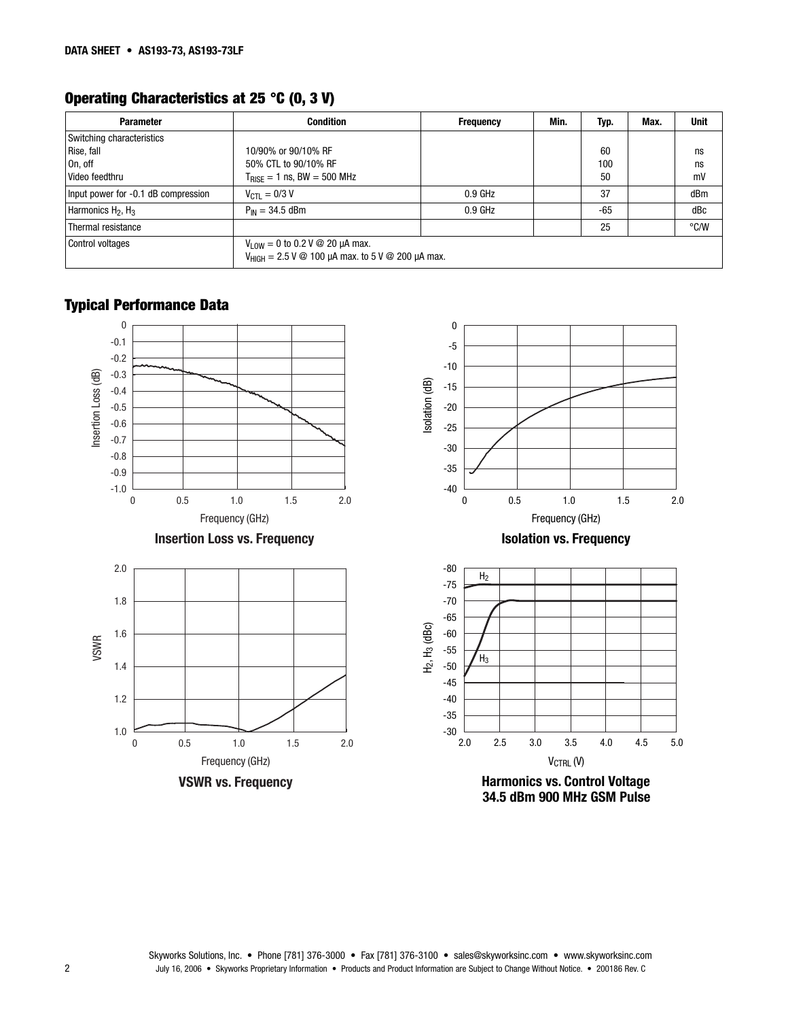# **Operating Characteristics at 25 °C (0, 3 V)**

| <b>Parameter</b>                    | <b>Condition</b>                                                                                                                                         | <b>Frequency</b> | Min. | Typ.  | Max. | <b>Unit</b>   |
|-------------------------------------|----------------------------------------------------------------------------------------------------------------------------------------------------------|------------------|------|-------|------|---------------|
| Switching characteristics           |                                                                                                                                                          |                  |      |       |      |               |
| Rise, fall                          | 10/90% or 90/10% RF                                                                                                                                      |                  |      | 60    |      | ns            |
| On, off                             | 50% CTL to 90/10% RF                                                                                                                                     |                  |      | 100   |      | ns            |
| Video feedthru                      | $T_{\text{RISE}} = 1$ ns, BW = 500 MHz                                                                                                                   |                  |      | 50    |      | mV            |
| Input power for -0.1 dB compression | $V_{\text{CTI}} = 0/3 V$                                                                                                                                 | $0.9$ GHz        |      | 37    |      | dBm           |
| Harmonics $H_2$ , $H_3$             | $P_{IN} = 34.5$ dBm                                                                                                                                      | $0.9$ GHz        |      | $-65$ |      | dBc           |
| Thermal resistance                  |                                                                                                                                                          |                  |      | 25    |      | $\degree$ C/W |
| Control voltages                    | $V_{1.0W} = 0$ to 0.2 V @ 20 µA max.<br>$V_{\text{HIGH}} = 2.5 \text{ V} \text{ @ } 100 \text{ µA max.}$ to $5 \text{ V} \text{ @ } 200 \text{ µA max.}$ |                  |      |       |      |               |

# **Typical Performance Data**



Skyworks Solutions, Inc. • Phone [781] 376-3000 • Fax [781] 376-3100 • sales@skyworksinc.com • www.skyworksinc.com July 16, 2006 • Skyworks Proprietary Information • Products and Product Information are Subject to Change Without Notice. • 200186 Rev. C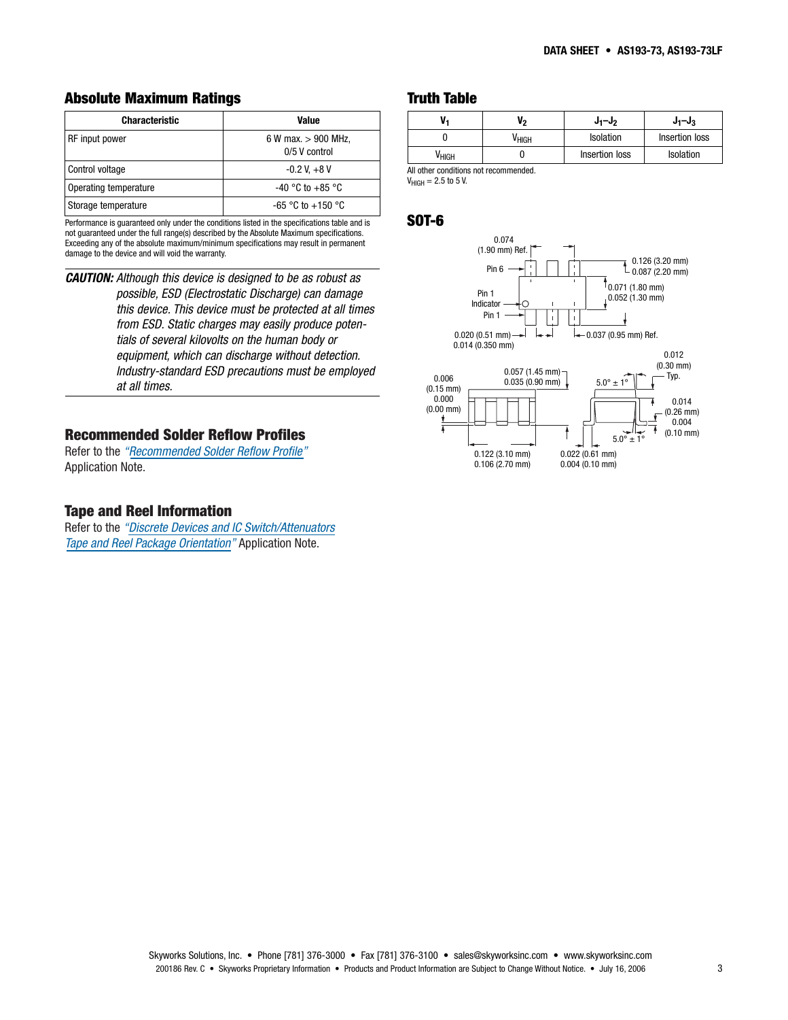# **Absolute Maximum Ratings**

| <b>Characteristic</b> | Value                                  |  |
|-----------------------|----------------------------------------|--|
| RF input power        | 6 W max. $> 900$ MHz,<br>0/5 V control |  |
| Control voltage       | $-0.2$ V, $+8$ V                       |  |
| Operating temperature | $-40$ °C to $+85$ °C                   |  |
| Storage temperature   | $-65$ °C to $+150$ °C                  |  |

Performance is guaranteed only under the conditions listed in the specifications table and is not guaranteed under the full range(s) described by the Absolute Maximum specifications. Exceeding any of the absolute maximum/minimum specifications may result in permanent damage to the device and will void the warranty.

**CAUTION:** Although this device is designed to be as robust as possible, ESD (Electrostatic Discharge) can damage this device. This device must be protected at all times from ESD. Static charges may easily produce potentials of several kilovolts on the human body or equipment, which can discharge without detection. Industry-standard ESD precautions must be employed at all times.

# **[Recommended Solder Reflow Profiles](http://www.skyworksinc.com/products_display_item.asp?did=2071 )**

Refer to the *"Recommended Solder Reflow Profile"* Application Note.

#### **Tape and Reel Information**

Refer to the *["Discrete Devices and IC Switch/Attenuators](http://www.skyworksinc.com/products_display_item.asp?did=2122 )  Tape and Reel Package Orientation"* Application Note.

## **Truth Table**

|                                       | Vo                | $J_1-J_2$      | $J_1-J_3$        |  |
|---------------------------------------|-------------------|----------------|------------------|--|
|                                       | V <sub>HIGH</sub> | Isolation      | Insertion loss   |  |
| V <sub>HIGH</sub>                     |                   | Insertion loss | <b>Isolation</b> |  |
| All other conditions not recommended. |                   |                |                  |  |

 $V_{HIGH} = 2.5$  to 5 V.

## **SOT-6**